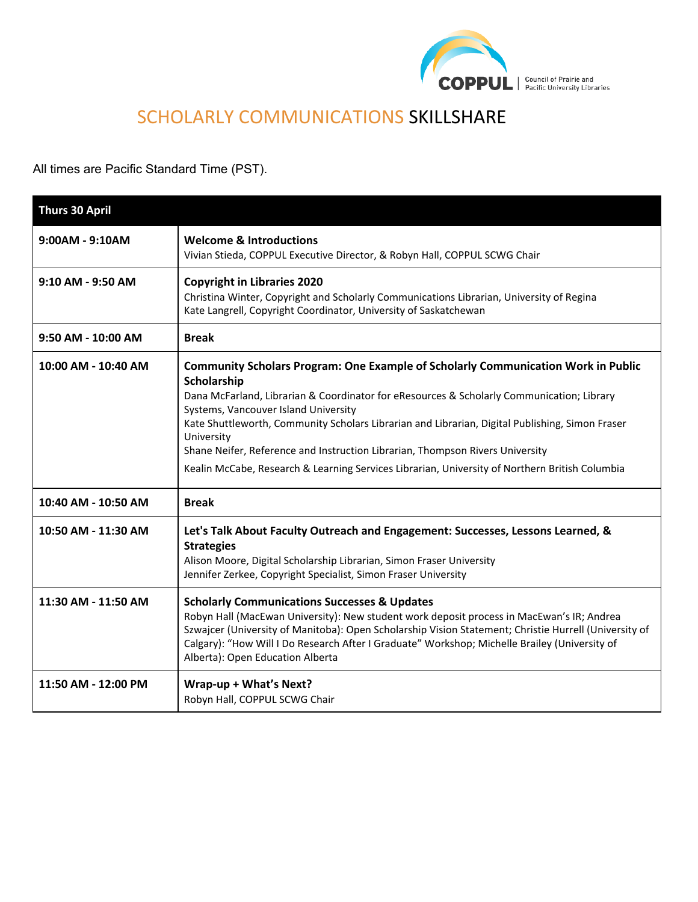

# SCHOLARLY COMMUNICATIONS SKILLSHARE

All times are Pacific Standard Time (PST).

| <b>Thurs 30 April</b> |                                                                                                                                                                                                                                                                                                                                                                                                                                                                                                                                           |
|-----------------------|-------------------------------------------------------------------------------------------------------------------------------------------------------------------------------------------------------------------------------------------------------------------------------------------------------------------------------------------------------------------------------------------------------------------------------------------------------------------------------------------------------------------------------------------|
| $9:00AM - 9:10AM$     | <b>Welcome &amp; Introductions</b><br>Vivian Stieda, COPPUL Executive Director, & Robyn Hall, COPPUL SCWG Chair                                                                                                                                                                                                                                                                                                                                                                                                                           |
| 9:10 AM - 9:50 AM     | <b>Copyright in Libraries 2020</b><br>Christina Winter, Copyright and Scholarly Communications Librarian, University of Regina<br>Kate Langrell, Copyright Coordinator, University of Saskatchewan                                                                                                                                                                                                                                                                                                                                        |
| 9:50 AM - 10:00 AM    | <b>Break</b>                                                                                                                                                                                                                                                                                                                                                                                                                                                                                                                              |
| 10:00 AM - 10:40 AM   | Community Scholars Program: One Example of Scholarly Communication Work in Public<br>Scholarship<br>Dana McFarland, Librarian & Coordinator for eResources & Scholarly Communication; Library<br>Systems, Vancouver Island University<br>Kate Shuttleworth, Community Scholars Librarian and Librarian, Digital Publishing, Simon Fraser<br>University<br>Shane Neifer, Reference and Instruction Librarian, Thompson Rivers University<br>Kealin McCabe, Research & Learning Services Librarian, University of Northern British Columbia |
| 10:40 AM - 10:50 AM   | <b>Break</b>                                                                                                                                                                                                                                                                                                                                                                                                                                                                                                                              |
| 10:50 AM - 11:30 AM   | Let's Talk About Faculty Outreach and Engagement: Successes, Lessons Learned, &<br><b>Strategies</b><br>Alison Moore, Digital Scholarship Librarian, Simon Fraser University<br>Jennifer Zerkee, Copyright Specialist, Simon Fraser University                                                                                                                                                                                                                                                                                            |
| 11:30 AM - 11:50 AM   | <b>Scholarly Communications Successes &amp; Updates</b><br>Robyn Hall (MacEwan University): New student work deposit process in MacEwan's IR; Andrea<br>Szwajcer (University of Manitoba): Open Scholarship Vision Statement; Christie Hurrell (University of<br>Calgary): "How Will I Do Research After I Graduate" Workshop; Michelle Brailey (University of<br>Alberta): Open Education Alberta                                                                                                                                        |
| 11:50 AM - 12:00 PM   | Wrap-up + What's Next?<br>Robyn Hall, COPPUL SCWG Chair                                                                                                                                                                                                                                                                                                                                                                                                                                                                                   |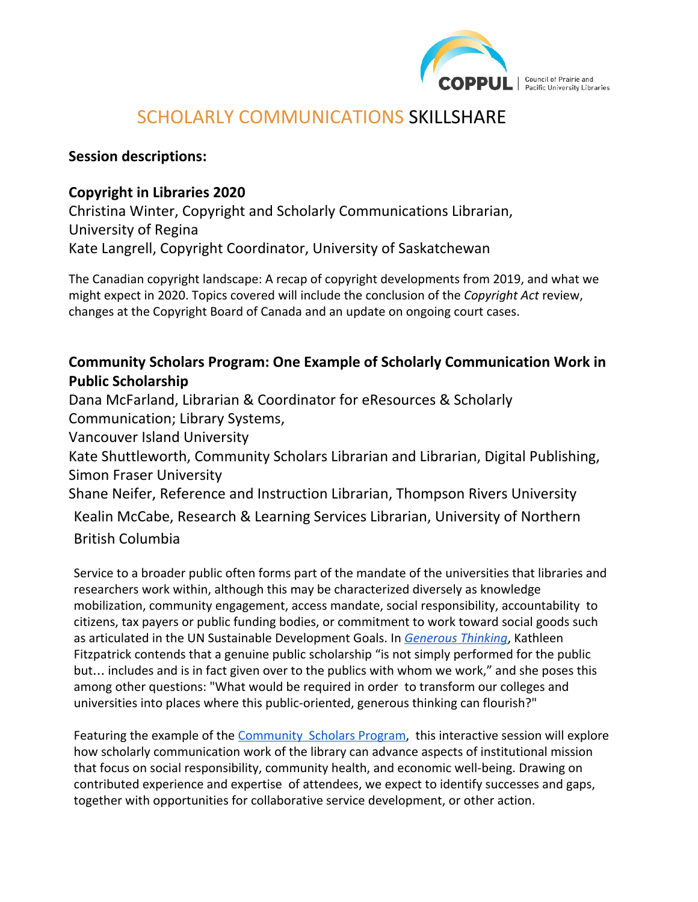

Council of Prairie and Pacific University Libraries

## SCHOLARLY COMMUNICATIONS SKILLSHARE

#### **Session descriptions:**

#### **Copyright in Libraries 2020**

Christina Winter, Copyright and Scholarly Communications Librarian, University of Regina Kate Langrell, Copyright Coordinator, University of Saskatchewan

The Canadian copyright landscape: A recap of copyright developments from 2019, and what we might expect in 2020. Topics covered will include the conclusion of the *Copyright Act* review, changes at the Copyright Board of Canada and an update on ongoing court cases.

### **Community Scholars Program: One Example of Scholarly Communication Work in Public Scholarship**

Dana McFarland, Librarian & Coordinator for eResources & Scholarly Communication; Library Systems,

Vancouver Island University

Kate Shuttleworth, Community Scholars Librarian and Librarian, Digital Publishing, Simon Fraser University

Shane Neifer, Reference and Instruction Librarian, Thompson Rivers University

Kealin McCabe, Research & Learning Services Librarian, University of Northern British Columbia

Service to a broader public often forms part of the mandate of the universities that libraries and researchers work within, although this may be characterized diversely as knowledge mobilization, community engagement, access mandate, social responsibility, accountability to citizens, tax payers or public funding bodies, or commitment to work toward social goods such as articulated in the UN Sustainable Development Goals. In *[Generous Thinking](https://generousthinking.hcommons.org/4-working-in-public/public-scholarship/)*, Kathleen Fitzpatrick contends that a genuine public scholarship "is not simply performed for the public but… includes and is in fact given over to the publics with whom we work," and she poses this among other questions: "What would be required in order to transform our colleges and universities into places where this public-oriented, generous thinking can flourish?"

Featuring the example of the [Community Scholars Program](https://www.lib.sfu.ca/about/overview/services-you/community-scholars), this interactive session will explore how scholarly communication work of the library can advance aspects of institutional mission that focus on social responsibility, community health, and economic well-being. Drawing on contributed experience and expertise of attendees, we expect to identify successes and gaps, together with opportunities for collaborative service development, or other action.